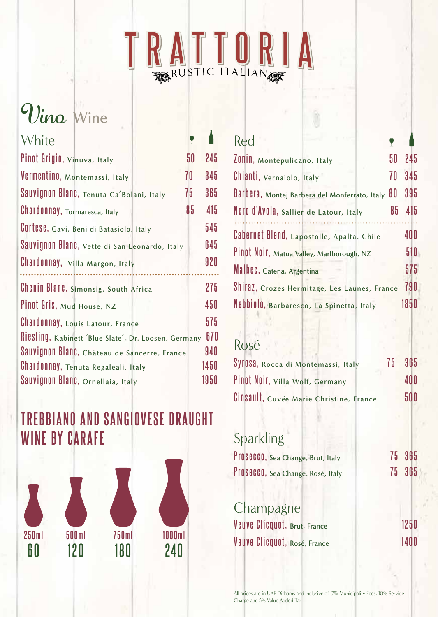

# $\n *Wine*\n$

| White                                                | Y  |      |
|------------------------------------------------------|----|------|
| Pinot Grigio, Vinuva, Italy                          | 50 | 245  |
| Vermentino, Montemassi, Italy                        | 70 | 345  |
| Sauvignon Blanc, Tenuta Ca'Bolani, Italy             | 75 | 365  |
| <b>Chardonnay</b> , Tormaresca, Italy                | 85 | 415  |
| COTTOSO, Gavi, Beni di Batasiolo, Italy              |    | 545  |
| Sauvignon Blanc, Vette di San Leonardo, Italy        |    | 645  |
| Chardonnay, Villa Margon, Italy                      |    | 920  |
| Chenin Blanc, Simonsig, South Africa                 |    | 275  |
| Pinot Gris, Mud House, NZ                            |    | 450  |
| <b>Chardonnay, Louis Latour, France</b>              |    | 575  |
| Riesling, Kabinett 'Blue Slate', Dr. Loosen, Germany |    | 670  |
| Sauvignon Blanc, Château de Sancerre, France         |    | 940  |
| Chardonnay, Tenuta Regaleali, Italy                  |    | 1450 |
| Sauvignon Blanc, Ornellaia, Italy                    |    | 1950 |

## **TREBBIANO AND SANGIOVESE DRAUGHT WINE BY CARAFE**



| Red                                                 |      |
|-----------------------------------------------------|------|
| 50<br>ZONIN, Montepulicano, Italy                   | 245  |
| 70<br>Chianti, Vernaiolo, Italy                     | 345  |
| 80<br>Barbera, Montej Barbera del Monferrato, Italy | 395  |
| Nero d'Avola, Sallier de Latour, Italy<br>85        | 415  |
| Cabernet Blend, Lapostolle, Apalta, Chile           | 400  |
| Pinot Noir, Matua Valley, Marlborough, NZ           | 510  |
| Malbec, Catena, Argentina                           | 575  |
| Shiraz, Crozes Hermitage, Les Launes, France        | 790  |
| Nebbiolo, Barbaresco, La Spinetta, Italy            | 1850 |

#### Rosé

| SVIOSA, Rocca di Montemassi, Italy      | $75 -$ | -365 |
|-----------------------------------------|--------|------|
| Pinot Noir, Villa Wolf, Germany         |        | 400  |
| Cinsault, Cuvée Marie Christine, France |        | 500  |

### Sparkling

| PIOSECCO, Sea Change, Brut, Italy | 75 365 |
|-----------------------------------|--------|
| PIOSECCO, Sea Change, Rosé, Italy | 75 365 |

**Champagne 1250 France France France France FRANCE 1400 Clicquot**, Rosé, France **1400** 

All prices are in UAE Dirhams and inclusive of 7% Municipality Fees, 10% Service Charge and 5% Value Added Tax